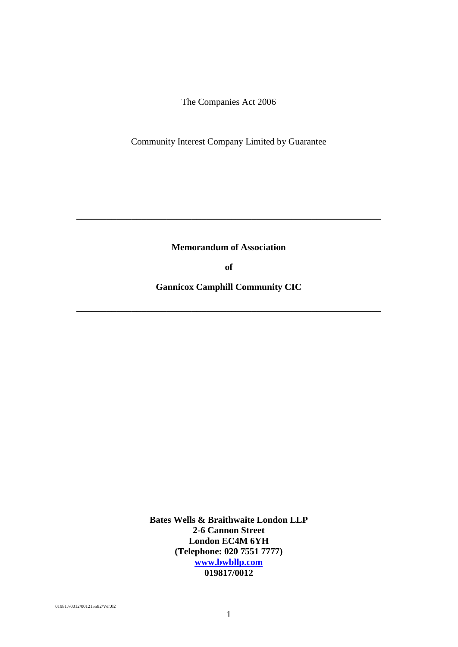Community Interest Company Limited by Guarantee

**Memorandum of Association**

**\_\_\_\_\_\_\_\_\_\_\_\_\_\_\_\_\_\_\_\_\_\_\_\_\_\_\_\_\_\_\_\_\_\_\_\_\_\_\_\_\_\_\_\_\_\_\_\_\_\_\_\_\_\_\_\_\_\_\_\_\_**

**of**

**Gannicox Camphill Community CIC**

**\_\_\_\_\_\_\_\_\_\_\_\_\_\_\_\_\_\_\_\_\_\_\_\_\_\_\_\_\_\_\_\_\_\_\_\_\_\_\_\_\_\_\_\_\_\_\_\_\_\_\_\_\_\_\_\_\_\_\_\_\_**

**Bates Wells & Braithwaite London LLP 2-6 Cannon Street London EC4M 6YH (Telephone: 020 7551 7777) [www.bwbllp.com](http://www.bateswells.co.uk/) 019817/0012**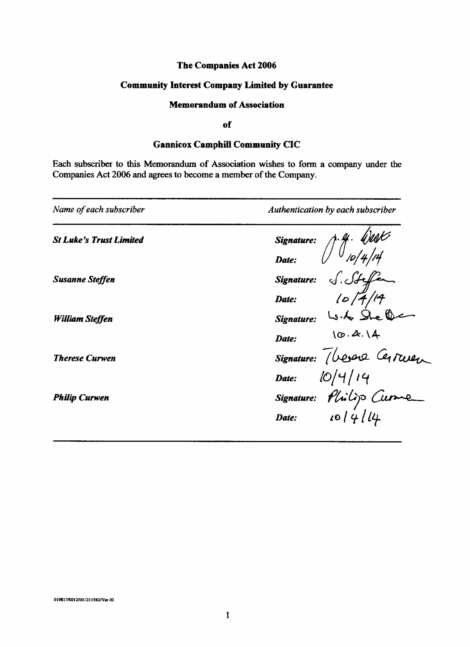# **Community Interest Company Limited by Guarantee**

# **Memorandum of Association**

### of

# **Gannicox Camphill Community CIC**

Each subscriber to this Memorandum of Association wishes to form a company under the Companies Act 2006 and agrees to become a member of the Company.

| Name of each subscriber        | Authentication by each subscriber                                            |
|--------------------------------|------------------------------------------------------------------------------|
| <b>St Luke's Trust Limited</b> | Signature: $\int \frac{q}{\rho} \int 4/d\phi$<br>Date: $\int \frac{q}{\rho}$ |
|                                |                                                                              |
| <b>Susanne Steffen</b>         |                                                                              |
|                                | Signature: S. St ffe                                                         |
| William Steffen                | Signature: W.G. Ste (1)                                                      |
|                                | 10.4.14<br>Date:                                                             |
| <b>Therese Curwen</b>          | Signature: Vesere Certwen                                                    |
|                                | Date: $10/4/14$                                                              |
| <b>Philip Curwen</b>           |                                                                              |
|                                | Signature: Plistip Curve                                                     |
|                                |                                                                              |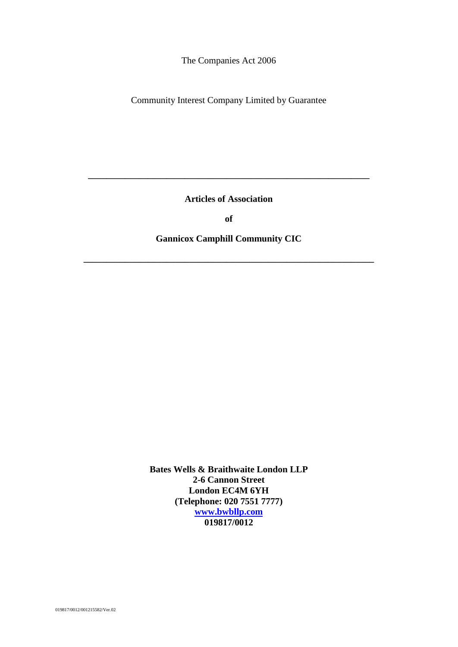Community Interest Company Limited by Guarantee

**Articles of Association**

**\_\_\_\_\_\_\_\_\_\_\_\_\_\_\_\_\_\_\_\_\_\_\_\_\_\_\_\_\_\_\_\_\_\_\_\_\_\_\_\_\_\_\_\_\_\_\_\_\_\_\_\_\_\_\_\_\_\_\_\_\_**

**of**

# **Gannicox Camphill Community CIC**

**\_\_\_\_\_\_\_\_\_\_\_\_\_\_\_\_\_\_\_\_\_\_\_\_\_\_\_\_\_\_\_\_\_\_\_\_\_\_\_\_\_\_\_\_\_\_\_\_\_\_\_\_\_\_\_\_\_\_\_\_\_\_\_**

**Bates Wells & Braithwaite London LLP 2-6 Cannon Street London EC4M 6YH (Telephone: 020 7551 7777) [www.bwbllp.com](http://www.bateswells.co.uk/) 019817/0012**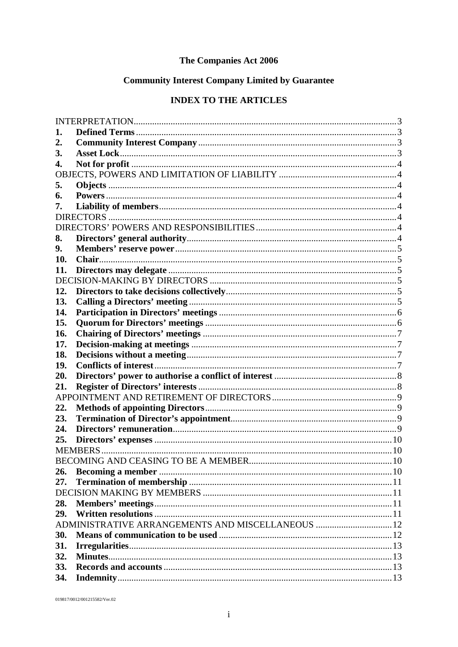# **Community Interest Company Limited by Guarantee**

# **INDEX TO THE ARTICLES**

| 1.  |                                                  |  |
|-----|--------------------------------------------------|--|
| 2.  |                                                  |  |
| 3.  |                                                  |  |
| 4.  |                                                  |  |
|     |                                                  |  |
| 5.  |                                                  |  |
| 6.  |                                                  |  |
| 7.  |                                                  |  |
|     |                                                  |  |
|     |                                                  |  |
| 8.  |                                                  |  |
| 9.  |                                                  |  |
| 10. |                                                  |  |
| 11. |                                                  |  |
|     |                                                  |  |
| 12. |                                                  |  |
| 13. |                                                  |  |
| 14. |                                                  |  |
| 15. |                                                  |  |
| 16. |                                                  |  |
| 17. |                                                  |  |
| 18. |                                                  |  |
| 19. |                                                  |  |
| 20. |                                                  |  |
| 21. |                                                  |  |
|     |                                                  |  |
| 22. |                                                  |  |
| 23. |                                                  |  |
| 24. |                                                  |  |
| 25. |                                                  |  |
|     |                                                  |  |
|     |                                                  |  |
| 26. |                                                  |  |
| 27. |                                                  |  |
|     |                                                  |  |
| 28. |                                                  |  |
| 29. |                                                  |  |
|     | ADMINISTRATIVE ARRANGEMENTS AND MISCELLANEOUS 12 |  |
| 30. |                                                  |  |
| 31. |                                                  |  |
| 32. |                                                  |  |
| 33. |                                                  |  |
| 34. |                                                  |  |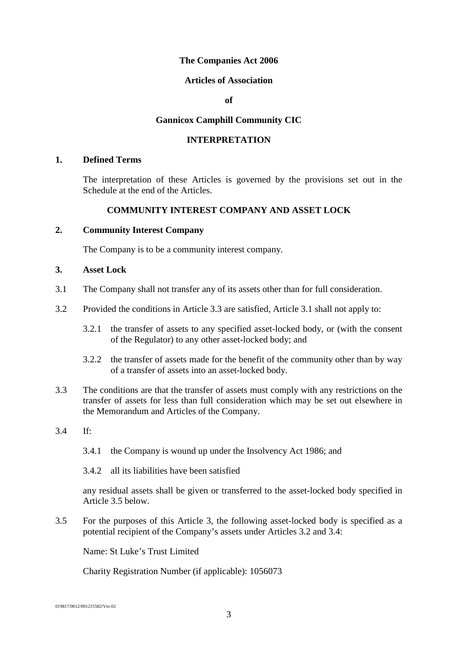#### **Articles of Association**

**of**

#### **Gannicox Camphill Community CIC**

# **INTERPRETATION**

#### <span id="page-5-1"></span><span id="page-5-0"></span>**1. Defined Terms**

The interpretation of these Articles is governed by the provisions set out in the Schedule at the end of the Articles.

#### **COMMUNITY INTEREST COMPANY AND ASSET LOCK**

### <span id="page-5-2"></span>**2. Community Interest Company**

The Company is to be a community interest company.

#### <span id="page-5-3"></span>**3. Asset Lock**

- <span id="page-5-5"></span>3.1 The Company shall not transfer any of its assets other than for full consideration.
- <span id="page-5-7"></span>3.2 Provided the conditions in Article [3.3](#page-5-4) are satisfied, Article [3.1](#page-5-5) shall not apply to:
	- 3.2.1 the transfer of assets to any specified asset-locked body, or (with the consent of the Regulator) to any other asset-locked body; and
	- 3.2.2 the transfer of assets made for the benefit of the community other than by way of a transfer of assets into an asset-locked body.
- <span id="page-5-4"></span>3.3 The conditions are that the transfer of assets must comply with any restrictions on the transfer of assets for less than full consideration which may be set out elsewhere in the Memorandum and Articles of the Company.
- <span id="page-5-8"></span>3.4 If:
	- 3.4.1 the Company is wound up under the Insolvency Act 1986; and
	- 3.4.2 all its liabilities have been satisfied

any residual assets shall be given or transferred to the asset-locked body specified in Article [3.5](#page-5-6) below.

<span id="page-5-6"></span>3.5 For the purposes of this Article [3,](#page-5-3) the following asset-locked body is specified as a potential recipient of the Company's assets under Articles [3.2](#page-5-7) and [3.4:](#page-5-8)

Name: St Luke's Trust Limited

Charity Registration Number (if applicable): 1056073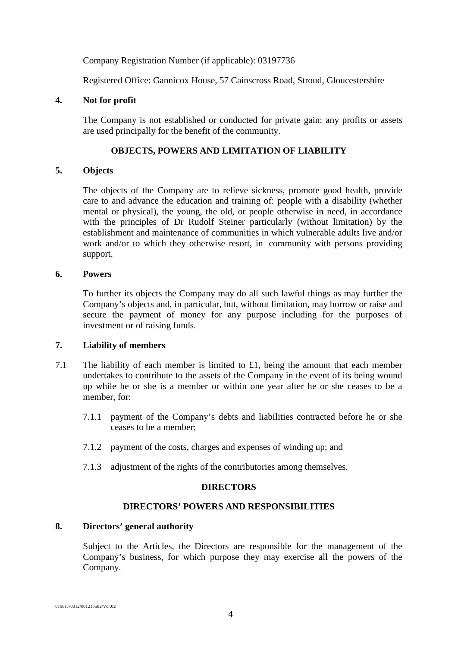Company Registration Number (if applicable): 03197736

Registered Office: Gannicox House, 57 Cainscross Road, Stroud, Gloucestershire

### <span id="page-6-0"></span>**4. Not for profit**

The Company is not established or conducted for private gain: any profits or assets are used principally for the benefit of the community.

# **OBJECTS, POWERS AND LIMITATION OF LIABILITY**

### <span id="page-6-3"></span><span id="page-6-2"></span><span id="page-6-1"></span>**5. Objects**

The objects of the Company are to relieve sickness, promote good health, provide care to and advance the education and training of: people with a disability (whether mental or physical), the young, the old, or people otherwise in need, in accordance with the principles of Dr Rudolf Steiner particularly (without limitation) by the establishment and maintenance of communities in which vulnerable adults live and/or work and/or to which they otherwise resort, in community with persons providing support.

# **6. Powers**

To further its objects the Company may do all such lawful things as may further the Company's objects and, in particular, but, without limitation, may borrow or raise and secure the payment of money for any purpose including for the purposes of investment or of raising funds.

### <span id="page-6-4"></span>**7. Liability of members**

- 7.1 The liability of each member is limited to  $£1$ , being the amount that each member undertakes to contribute to the assets of the Company in the event of its being wound up while he or she is a member or within one year after he or she ceases to be a member, for:
	- 7.1.1 payment of the Company's debts and liabilities contracted before he or she ceases to be a member;
	- 7.1.2 payment of the costs, charges and expenses of winding up; and
	- 7.1.3 adjustment of the rights of the contributories among themselves.

# **DIRECTORS**

### **DIRECTORS' POWERS AND RESPONSIBILITIES**

# <span id="page-6-7"></span><span id="page-6-6"></span><span id="page-6-5"></span>**8. Directors' general authority**

Subject to the Articles, the Directors are responsible for the management of the Company's business, for which purpose they may exercise all the powers of the Company.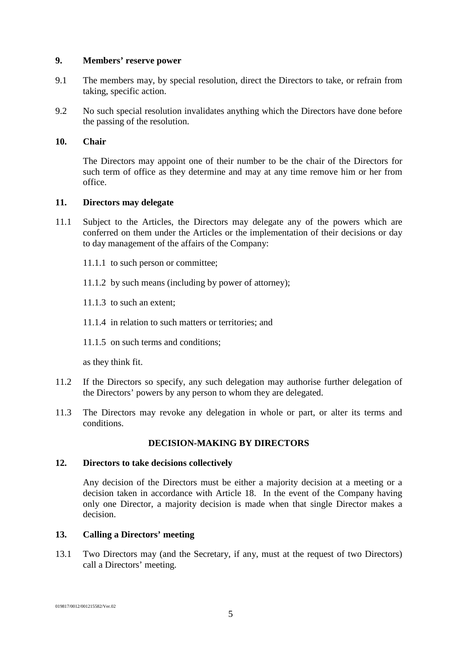#### <span id="page-7-0"></span>**9. Members' reserve power**

- 9.1 The members may, by special resolution, direct the Directors to take, or refrain from taking, specific action.
- 9.2 No such special resolution invalidates anything which the Directors have done before the passing of the resolution.

#### <span id="page-7-1"></span>**10. Chair**

The Directors may appoint one of their number to be the chair of the Directors for such term of office as they determine and may at any time remove him or her from office.

#### <span id="page-7-2"></span>**11. Directors may delegate**

- 11.1 Subject to the Articles, the Directors may delegate any of the powers which are conferred on them under the Articles or the implementation of their decisions or day to day management of the affairs of the Company:
	- 11.1.1 to such person or committee;
	- 11.1.2 by such means (including by power of attorney);
	- 11.1.3 to such an extent;
	- 11.1.4 in relation to such matters or territories; and
	- 11.1.5 on such terms and conditions:

as they think fit.

- 11.2 If the Directors so specify, any such delegation may authorise further delegation of the Directors' powers by any person to whom they are delegated.
- 11.3 The Directors may revoke any delegation in whole or part, or alter its terms and conditions.

#### **DECISION-MAKING BY DIRECTORS**

#### <span id="page-7-4"></span><span id="page-7-3"></span>**12. Directors to take decisions collectively**

Any decision of the Directors must be either a majority decision at a meeting or a decision taken in accordance with Article [18.](#page-9-4) In the event of the Company having only one Director, a majority decision is made when that single Director makes a decision.

#### <span id="page-7-5"></span>**13. Calling a Directors' meeting**

13.1 Two Directors may (and the Secretary, if any, must at the request of two Directors) call a Directors' meeting.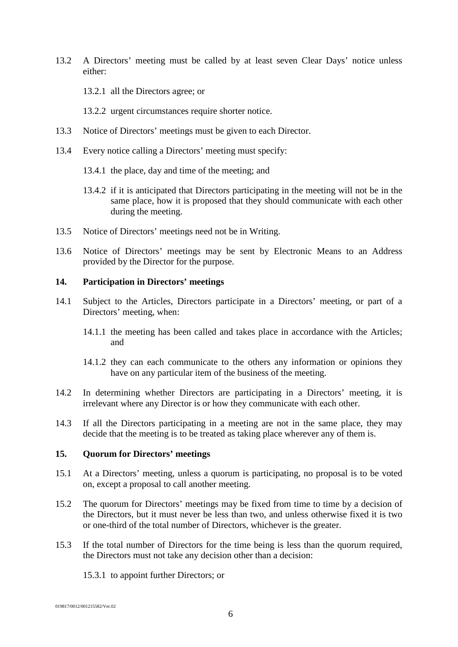- 13.2 A Directors' meeting must be called by at least seven Clear Days' notice unless either:
	- 13.2.1 all the Directors agree; or
	- 13.2.2 urgent circumstances require shorter notice.
- 13.3 Notice of Directors' meetings must be given to each Director.
- 13.4 Every notice calling a Directors' meeting must specify:
	- 13.4.1 the place, day and time of the meeting; and
	- 13.4.2 if it is anticipated that Directors participating in the meeting will not be in the same place, how it is proposed that they should communicate with each other during the meeting.
- 13.5 Notice of Directors' meetings need not be in Writing.
- 13.6 Notice of Directors' meetings may be sent by Electronic Means to an Address provided by the Director for the purpose.

#### <span id="page-8-0"></span>**14. Participation in Directors' meetings**

- 14.1 Subject to the Articles, Directors participate in a Directors' meeting, or part of a Directors' meeting, when:
	- 14.1.1 the meeting has been called and takes place in accordance with the Articles; and
	- 14.1.2 they can each communicate to the others any information or opinions they have on any particular item of the business of the meeting.
- 14.2 In determining whether Directors are participating in a Directors' meeting, it is irrelevant where any Director is or how they communicate with each other.
- 14.3 If all the Directors participating in a meeting are not in the same place, they may decide that the meeting is to be treated as taking place wherever any of them is.

#### <span id="page-8-1"></span>**15. Quorum for Directors' meetings**

- 15.1 At a Directors' meeting, unless a quorum is participating, no proposal is to be voted on, except a proposal to call another meeting.
- 15.2 The quorum for Directors' meetings may be fixed from time to time by a decision of the Directors, but it must never be less than two, and unless otherwise fixed it is two or one-third of the total number of Directors, whichever is the greater.
- 15.3 If the total number of Directors for the time being is less than the quorum required, the Directors must not take any decision other than a decision:
	- 15.3.1 to appoint further Directors; or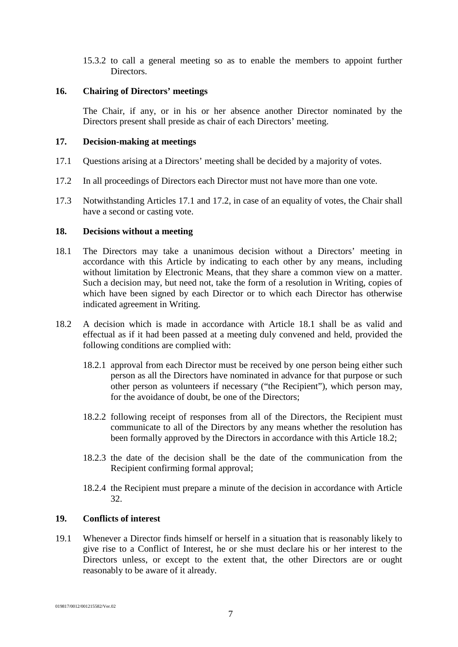15.3.2 to call a general meeting so as to enable the members to appoint further Directors.

#### <span id="page-9-0"></span>**16. Chairing of Directors' meetings**

The Chair, if any, or in his or her absence another Director nominated by the Directors present shall preside as chair of each Directors' meeting.

#### <span id="page-9-1"></span>**17. Decision-making at meetings**

- <span id="page-9-5"></span>17.1 Questions arising at a Directors' meeting shall be decided by a majority of votes.
- <span id="page-9-6"></span>17.2 In all proceedings of Directors each Director must not have more than one vote.
- <span id="page-9-2"></span>17.3 Notwithstanding Articles [17.1](#page-9-5) and [17.2,](#page-9-6) in case of an equality of votes, the Chair shall have a second or casting vote.

#### <span id="page-9-4"></span>**18. Decisions without a meeting**

- <span id="page-9-7"></span>18.1 The Directors may take a unanimous decision without a Directors' meeting in accordance with this Article by indicating to each other by any means, including without limitation by Electronic Means, that they share a common view on a matter. Such a decision may, but need not, take the form of a resolution in Writing, copies of which have been signed by each Director or to which each Director has otherwise indicated agreement in Writing.
- <span id="page-9-8"></span>18.2 A decision which is made in accordance with Article [18.1](#page-9-7) shall be as valid and effectual as if it had been passed at a meeting duly convened and held, provided the following conditions are complied with:
	- 18.2.1 approval from each Director must be received by one person being either such person as all the Directors have nominated in advance for that purpose or such other person as volunteers if necessary ("the Recipient"), which person may, for the avoidance of doubt, be one of the Directors;
	- 18.2.2 following receipt of responses from all of the Directors, the Recipient must communicate to all of the Directors by any means whether the resolution has been formally approved by the Directors in accordance with this Article [18.2;](#page-9-8)
	- 18.2.3 the date of the decision shall be the date of the communication from the Recipient confirming formal approval;
	- 18.2.4 the Recipient must prepare a minute of the decision in accordance with Article [32.](#page-15-1)

### <span id="page-9-3"></span>**19. Conflicts of interest**

19.1 Whenever a Director finds himself or herself in a situation that is reasonably likely to give rise to a Conflict of Interest, he or she must declare his or her interest to the Directors unless, or except to the extent that, the other Directors are or ought reasonably to be aware of it already.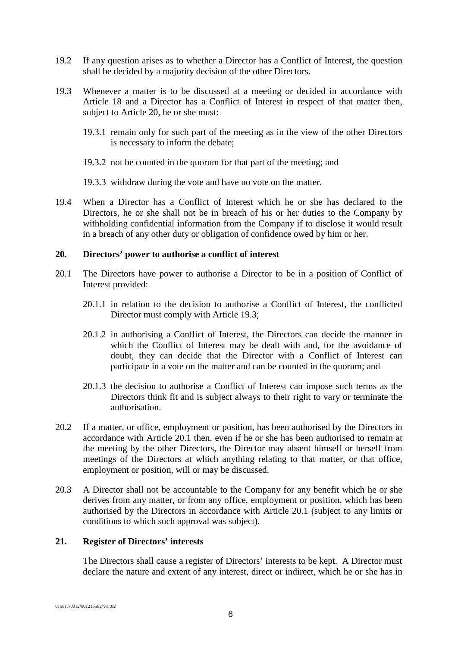- 19.2 If any question arises as to whether a Director has a Conflict of Interest, the question shall be decided by a majority decision of the other Directors.
- <span id="page-10-2"></span>19.3 Whenever a matter is to be discussed at a meeting or decided in accordance with Article [18](#page-9-2) and a Director has a Conflict of Interest in respect of that matter then, subject to Article [20,](#page-10-0) he or she must:
	- 19.3.1 remain only for such part of the meeting as in the view of the other Directors is necessary to inform the debate;
	- 19.3.2 not be counted in the quorum for that part of the meeting; and
	- 19.3.3 withdraw during the vote and have no vote on the matter.
- 19.4 When a Director has a Conflict of Interest which he or she has declared to the Directors, he or she shall not be in breach of his or her duties to the Company by withholding confidential information from the Company if to disclose it would result in a breach of any other duty or obligation of confidence owed by him or her.

#### <span id="page-10-0"></span>**20. Directors' power to authorise a conflict of interest**

- <span id="page-10-3"></span>20.1 The Directors have power to authorise a Director to be in a position of Conflict of Interest provided:
	- 20.1.1 in relation to the decision to authorise a Conflict of Interest, the conflicted Director must comply with Article [19.3;](#page-10-2)
	- 20.1.2 in authorising a Conflict of Interest, the Directors can decide the manner in which the Conflict of Interest may be dealt with and, for the avoidance of doubt, they can decide that the Director with a Conflict of Interest can participate in a vote on the matter and can be counted in the quorum; and
	- 20.1.3 the decision to authorise a Conflict of Interest can impose such terms as the Directors think fit and is subject always to their right to vary or terminate the authorisation.
- 20.2 If a matter, or office, employment or position, has been authorised by the Directors in accordance with Article [20.1](#page-10-3) then, even if he or she has been authorised to remain at the meeting by the other Directors, the Director may absent himself or herself from meetings of the Directors at which anything relating to that matter, or that office, employment or position, will or may be discussed.
- 20.3 A Director shall not be accountable to the Company for any benefit which he or she derives from any matter, or from any office, employment or position, which has been authorised by the Directors in accordance with Article [20.1](#page-10-3) (subject to any limits or conditions to which such approval was subject).

#### <span id="page-10-1"></span>**21. Register of Directors' interests**

The Directors shall cause a register of Directors' interests to be kept. A Director must declare the nature and extent of any interest, direct or indirect, which he or she has in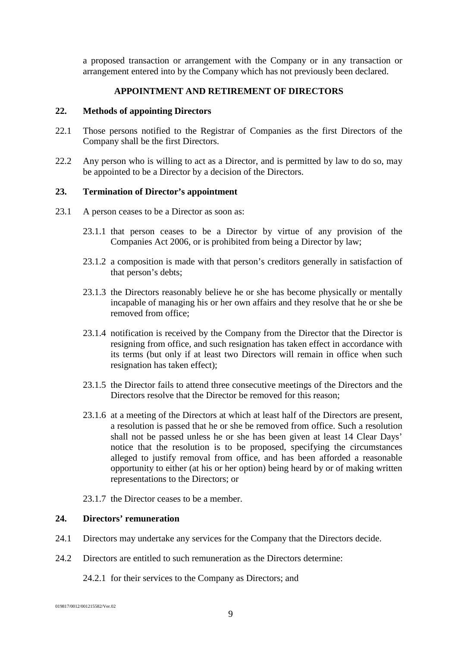a proposed transaction or arrangement with the Company or in any transaction or arrangement entered into by the Company which has not previously been declared.

#### **APPOINTMENT AND RETIREMENT OF DIRECTORS**

#### <span id="page-11-1"></span><span id="page-11-0"></span>**22. Methods of appointing Directors**

- 22.1 Those persons notified to the Registrar of Companies as the first Directors of the Company shall be the first Directors.
- 22.2 Any person who is willing to act as a Director, and is permitted by law to do so, may be appointed to be a Director by a decision of the Directors.

#### <span id="page-11-2"></span>**23. Termination of Director's appointment**

- 23.1 A person ceases to be a Director as soon as:
	- 23.1.1 that person ceases to be a Director by virtue of any provision of the Companies Act 2006, or is prohibited from being a Director by law;
	- 23.1.2 a composition is made with that person's creditors generally in satisfaction of that person's debts;
	- 23.1.3 the Directors reasonably believe he or she has become physically or mentally incapable of managing his or her own affairs and they resolve that he or she be removed from office;
	- 23.1.4 notification is received by the Company from the Director that the Director is resigning from office, and such resignation has taken effect in accordance with its terms (but only if at least two Directors will remain in office when such resignation has taken effect);
	- 23.1.5 the Director fails to attend three consecutive meetings of the Directors and the Directors resolve that the Director be removed for this reason;
	- 23.1.6 at a meeting of the Directors at which at least half of the Directors are present, a resolution is passed that he or she be removed from office. Such a resolution shall not be passed unless he or she has been given at least 14 Clear Days' notice that the resolution is to be proposed, specifying the circumstances alleged to justify removal from office, and has been afforded a reasonable opportunity to either (at his or her option) being heard by or of making written representations to the Directors; or
	- 23.1.7 the Director ceases to be a member.

# <span id="page-11-3"></span>**24. Directors' remuneration**

- 24.1 Directors may undertake any services for the Company that the Directors decide.
- 24.2 Directors are entitled to such remuneration as the Directors determine:

24.2.1 for their services to the Company as Directors; and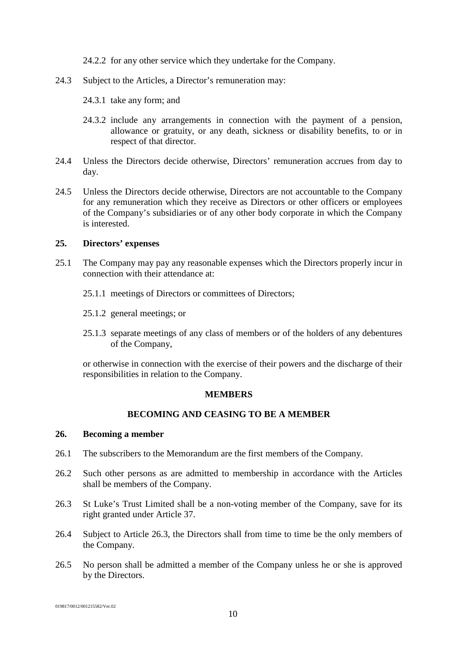24.2.2 for any other service which they undertake for the Company.

- 24.3 Subject to the Articles, a Director's remuneration may:
	- 24.3.1 take any form; and
	- 24.3.2 include any arrangements in connection with the payment of a pension, allowance or gratuity, or any death, sickness or disability benefits, to or in respect of that director.
- 24.4 Unless the Directors decide otherwise, Directors' remuneration accrues from day to day.
- 24.5 Unless the Directors decide otherwise, Directors are not accountable to the Company for any remuneration which they receive as Directors or other officers or employees of the Company's subsidiaries or of any other body corporate in which the Company is interested.

#### <span id="page-12-0"></span>**25. Directors' expenses**

- 25.1 The Company may pay any reasonable expenses which the Directors properly incur in connection with their attendance at:
	- 25.1.1 meetings of Directors or committees of Directors;
	- 25.1.2 general meetings; or
	- 25.1.3 separate meetings of any class of members or of the holders of any debentures of the Company,

or otherwise in connection with the exercise of their powers and the discharge of their responsibilities in relation to the Company.

### **MEMBERS**

### **BECOMING AND CEASING TO BE A MEMBER**

# <span id="page-12-3"></span><span id="page-12-2"></span><span id="page-12-1"></span>**26. Becoming a member**

- 26.1 The subscribers to the Memorandum are the first members of the Company.
- 26.2 Such other persons as are admitted to membership in accordance with the Articles shall be members of the Company.
- <span id="page-12-4"></span>26.3 St Luke's Trust Limited shall be a non-voting member of the Company, save for its right granted under Article [37.](#page-16-2)
- 26.4 Subject to Article [26.3,](#page-12-4) the Directors shall from time to time be the only members of the Company.
- 26.5 No person shall be admitted a member of the Company unless he or she is approved by the Directors.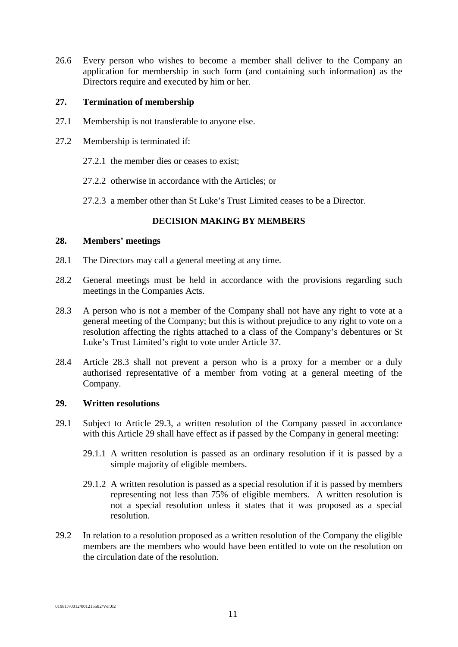26.6 Every person who wishes to become a member shall deliver to the Company an application for membership in such form (and containing such information) as the Directors require and executed by him or her.

#### <span id="page-13-0"></span>**27. Termination of membership**

- 27.1 Membership is not transferable to anyone else.
- 27.2 Membership is terminated if:
	- 27.2.1 the member dies or ceases to exist;
	- 27.2.2 otherwise in accordance with the Articles; or
	- 27.2.3 a member other than St Luke's Trust Limited ceases to be a Director.

### **DECISION MAKING BY MEMBERS**

#### <span id="page-13-2"></span><span id="page-13-1"></span>**28. Members' meetings**

- 28.1 The Directors may call a general meeting at any time.
- 28.2 General meetings must be held in accordance with the provisions regarding such meetings in the Companies Acts.
- <span id="page-13-4"></span>28.3 A person who is not a member of the Company shall not have any right to vote at a general meeting of the Company; but this is without prejudice to any right to vote on a resolution affecting the rights attached to a class of the Company's debentures or St Luke's Trust Limited's right to vote under Article [37.](#page-16-2)
- 28.4 Article [28.3](#page-13-4) shall not prevent a person who is a proxy for a member or a duly authorised representative of a member from voting at a general meeting of the Company.

#### <span id="page-13-3"></span>**29. Written resolutions**

- 29.1 Subject to Article [29.3,](#page-14-2) a written resolution of the Company passed in accordance with this Article [29](#page-13-3) shall have effect as if passed by the Company in general meeting:
	- 29.1.1 A written resolution is passed as an ordinary resolution if it is passed by a simple majority of eligible members.
	- 29.1.2 A written resolution is passed as a special resolution if it is passed by members representing not less than 75% of eligible members. A written resolution is not a special resolution unless it states that it was proposed as a special resolution.
- 29.2 In relation to a resolution proposed as a written resolution of the Company the eligible members are the members who would have been entitled to vote on the resolution on the circulation date of the resolution.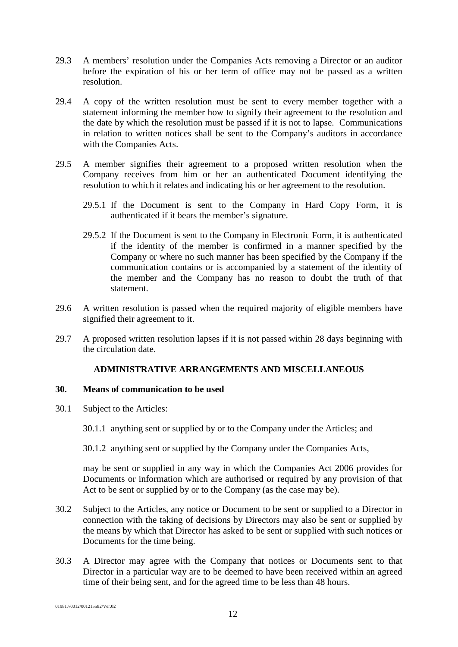- <span id="page-14-2"></span>29.3 A members' resolution under the Companies Acts removing a Director or an auditor before the expiration of his or her term of office may not be passed as a written resolution.
- 29.4 A copy of the written resolution must be sent to every member together with a statement informing the member how to signify their agreement to the resolution and the date by which the resolution must be passed if it is not to lapse. Communications in relation to written notices shall be sent to the Company's auditors in accordance with the Companies Acts.
- 29.5 A member signifies their agreement to a proposed written resolution when the Company receives from him or her an authenticated Document identifying the resolution to which it relates and indicating his or her agreement to the resolution.
	- 29.5.1 If the Document is sent to the Company in Hard Copy Form, it is authenticated if it bears the member's signature.
	- 29.5.2 If the Document is sent to the Company in Electronic Form, it is authenticated if the identity of the member is confirmed in a manner specified by the Company or where no such manner has been specified by the Company if the communication contains or is accompanied by a statement of the identity of the member and the Company has no reason to doubt the truth of that statement.
- 29.6 A written resolution is passed when the required majority of eligible members have signified their agreement to it.
- 29.7 A proposed written resolution lapses if it is not passed within 28 days beginning with the circulation date.

# **ADMINISTRATIVE ARRANGEMENTS AND MISCELLANEOUS**

# <span id="page-14-1"></span><span id="page-14-0"></span>**30. Means of communication to be used**

30.1 Subject to the Articles:

30.1.1 anything sent or supplied by or to the Company under the Articles; and

30.1.2 anything sent or supplied by the Company under the Companies Acts,

may be sent or supplied in any way in which the Companies Act 2006 provides for Documents or information which are authorised or required by any provision of that Act to be sent or supplied by or to the Company (as the case may be).

- 30.2 Subject to the Articles, any notice or Document to be sent or supplied to a Director in connection with the taking of decisions by Directors may also be sent or supplied by the means by which that Director has asked to be sent or supplied with such notices or Documents for the time being.
- 30.3 A Director may agree with the Company that notices or Documents sent to that Director in a particular way are to be deemed to have been received within an agreed time of their being sent, and for the agreed time to be less than 48 hours.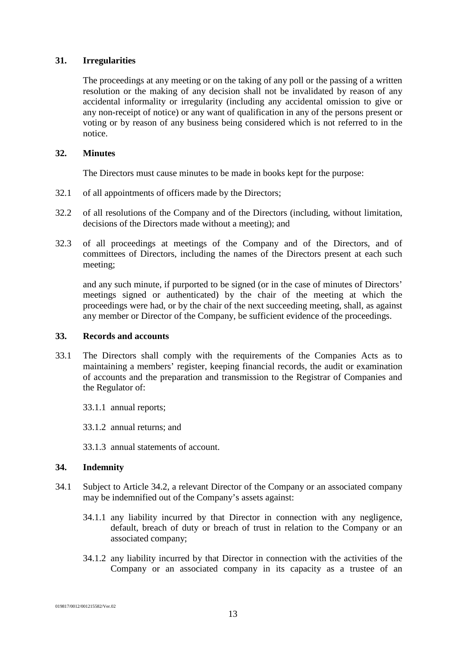# <span id="page-15-0"></span>**31. Irregularities**

The proceedings at any meeting or on the taking of any poll or the passing of a written resolution or the making of any decision shall not be invalidated by reason of any accidental informality or irregularity (including any accidental omission to give or any non-receipt of notice) or any want of qualification in any of the persons present or voting or by reason of any business being considered which is not referred to in the notice.

# <span id="page-15-1"></span>**32. Minutes**

The Directors must cause minutes to be made in books kept for the purpose:

- 32.1 of all appointments of officers made by the Directors;
- 32.2 of all resolutions of the Company and of the Directors (including, without limitation, decisions of the Directors made without a meeting); and
- 32.3 of all proceedings at meetings of the Company and of the Directors, and of committees of Directors, including the names of the Directors present at each such meeting;

and any such minute, if purported to be signed (or in the case of minutes of Directors' meetings signed or authenticated) by the chair of the meeting at which the proceedings were had, or by the chair of the next succeeding meeting, shall, as against any member or Director of the Company, be sufficient evidence of the proceedings.

### <span id="page-15-2"></span>**33. Records and accounts**

- 33.1 The Directors shall comply with the requirements of the Companies Acts as to maintaining a members' register, keeping financial records, the audit or examination of accounts and the preparation and transmission to the Registrar of Companies and the Regulator of:
	- 33.1.1 annual reports;
	- 33.1.2 annual returns; and
	- 33.1.3 annual statements of account.

### <span id="page-15-3"></span>**34. Indemnity**

- 34.1 Subject to Article [34.2,](#page-16-3) a relevant Director of the Company or an associated company may be indemnified out of the Company's assets against:
	- 34.1.1 any liability incurred by that Director in connection with any negligence, default, breach of duty or breach of trust in relation to the Company or an associated company;
	- 34.1.2 any liability incurred by that Director in connection with the activities of the Company or an associated company in its capacity as a trustee of an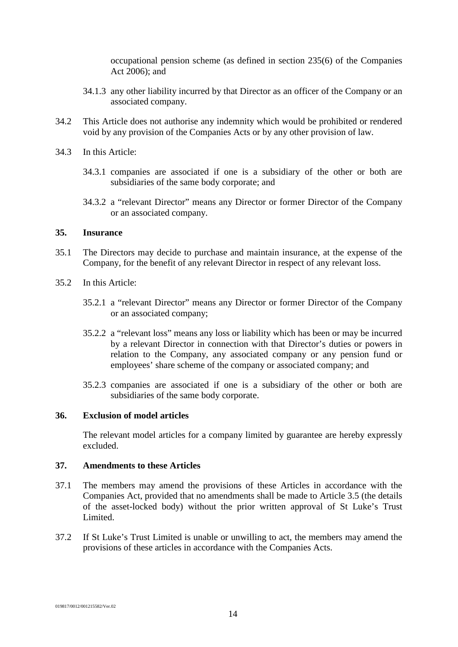occupational pension scheme (as defined in section 235(6) of the Companies Act 2006); and

- 34.1.3 any other liability incurred by that Director as an officer of the Company or an associated company.
- <span id="page-16-3"></span>34.2 This Article does not authorise any indemnity which would be prohibited or rendered void by any provision of the Companies Acts or by any other provision of law.
- 34.3 In this Article:
	- 34.3.1 companies are associated if one is a subsidiary of the other or both are subsidiaries of the same body corporate; and
	- 34.3.2 a "relevant Director" means any Director or former Director of the Company or an associated company.

# <span id="page-16-0"></span>**35. Insurance**

- 35.1 The Directors may decide to purchase and maintain insurance, at the expense of the Company, for the benefit of any relevant Director in respect of any relevant loss.
- 35.2 In this Article:
	- 35.2.1 a "relevant Director" means any Director or former Director of the Company or an associated company;
	- 35.2.2 a "relevant loss" means any loss or liability which has been or may be incurred by a relevant Director in connection with that Director's duties or powers in relation to the Company, any associated company or any pension fund or employees' share scheme of the company or associated company; and
	- 35.2.3 companies are associated if one is a subsidiary of the other or both are subsidiaries of the same body corporate.

#### <span id="page-16-1"></span>**36. Exclusion of model articles**

The relevant model articles for a company limited by guarantee are hereby expressly excluded.

#### <span id="page-16-2"></span>**37. Amendments to these Articles**

- 37.1 The members may amend the provisions of these Articles in accordance with the Companies Act, provided that no amendments shall be made to Article [3.5](#page-5-6) (the details of the asset-locked body) without the prior written approval of St Luke's Trust Limited.
- 37.2 If St Luke's Trust Limited is unable or unwilling to act, the members may amend the provisions of these articles in accordance with the Companies Acts.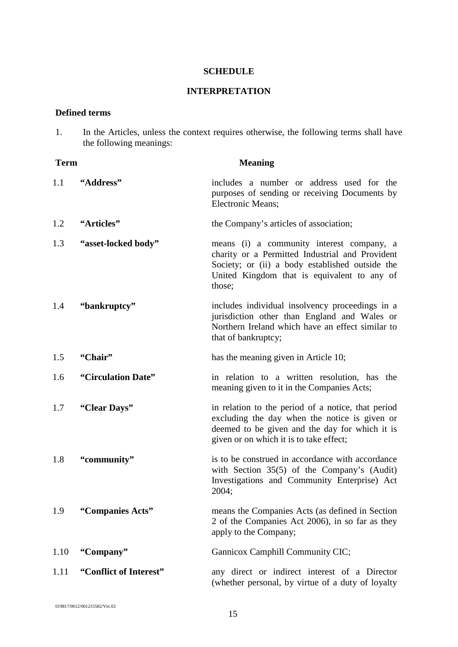#### **SCHEDULE**

# **INTERPRETATION**

# <span id="page-17-0"></span>**Defined terms**

1. In the Articles, unless the context requires otherwise, the following terms shall have the following meanings:

| <b>Term</b> |                        | <b>Meaning</b>                                                                                                                                                                                           |
|-------------|------------------------|----------------------------------------------------------------------------------------------------------------------------------------------------------------------------------------------------------|
| 1.1         | "Address"              | includes a number or address used for the<br>purposes of sending or receiving Documents by<br>Electronic Means;                                                                                          |
| 1.2         | "Articles"             | the Company's articles of association;                                                                                                                                                                   |
| 1.3         | "asset-locked body"    | means (i) a community interest company, a<br>charity or a Permitted Industrial and Provident<br>Society; or (ii) a body established outside the<br>United Kingdom that is equivalent to any of<br>those; |
| 1.4         | "bankruptcy"           | includes individual insolvency proceedings in a<br>jurisdiction other than England and Wales or<br>Northern Ireland which have an effect similar to<br>that of bankruptcy;                               |
| 1.5         | "Chair"                | has the meaning given in Article 10;                                                                                                                                                                     |
| 1.6         | "Circulation Date"     | in relation to a written resolution, has the<br>meaning given to it in the Companies Acts;                                                                                                               |
| 1.7         | "Clear Days"           | in relation to the period of a notice, that period<br>excluding the day when the notice is given or<br>deemed to be given and the day for which it is<br>given or on which it is to take effect;         |
| 1.8         | "community"            | is to be construed in accordance with accordance<br>with Section 35(5) of the Company's (Audit)<br>Investigations and Community Enterprise) Act<br>2004;                                                 |
| 1.9         | "Companies Acts"       | means the Companies Acts (as defined in Section<br>2 of the Companies Act 2006), in so far as they<br>apply to the Company;                                                                              |
| 1.10        | "Company"              | Gannicox Camphill Community CIC;                                                                                                                                                                         |
| 1.11        | "Conflict of Interest" | any direct or indirect interest of a Director<br>(whether personal, by virtue of a duty of loyalty                                                                                                       |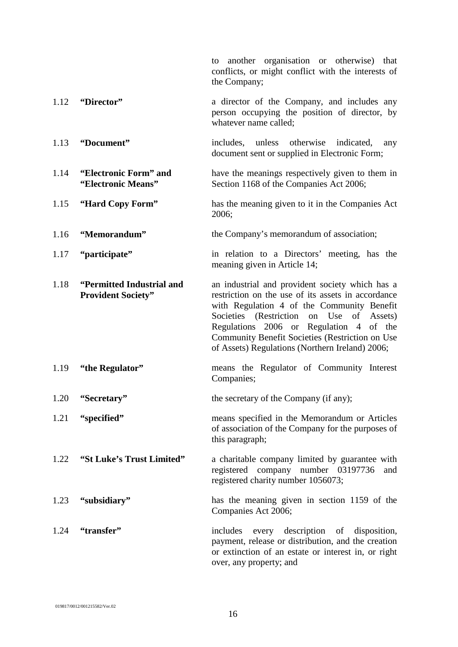to another organisation or otherwise) that conflicts, or might conflict with the interests of the Company; 1.12 **"Director"** a director of the Company, and includes any person occupying the position of director, by whatever name called; 1.13 **"Document"** includes, unless otherwise indicated, any document sent or supplied in Electronic Form; 1.14 **"Electronic Form" and "Electronic Means"** have the meanings respectively given to them in Section 1168 of the Companies Act 2006; 1.15 **"Hard Copy Form"** has the meaning given to it in the Companies Act 2006; 1.16 **"Memorandum"** the Company's memorandum of association; 1.17 **"participate"** in relation to a Directors' meeting, has the meaning given in Article [14;](#page-8-0) 1.18 **"Permitted Industrial and Provident Society"** an industrial and provident society which has a restriction on the use of its assets in accordance with Regulation 4 of the Community Benefit Societies (Restriction on Use of Assets) Regulations 2006 or Regulation 4 of the Community Benefit Societies (Restriction on Use of Assets) Regulations (Northern Ireland) 2006; 1.19 **"the Regulator"** means the Regulator of Community Interest Companies; 1.20 **"Secretary"** the secretary of the Company (if any); 1.21 **"specified"** means specified in the Memorandum or Articles of association of the Company for the purposes of this paragraph; 1.22 **"St Luke's Trust Limited"** a charitable company limited by guarantee with registered company number 03197736 and registered charity number 1056073; 1.23 **"subsidiary"** has the meaning given in section 1159 of the Companies Act 2006; 1.24 **"transfer"** includes every description of disposition, payment, release or distribution, and the creation or extinction of an estate or interest in, or right over, any property; and